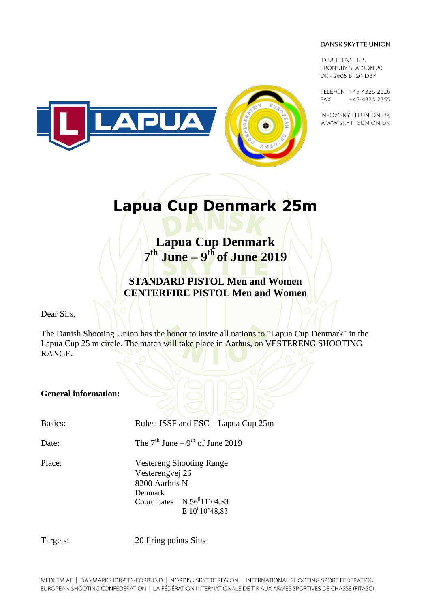**IDRÆTTENS HUS BRØNDBY STADION 20** DK-2605 BRØNDBY

TELEFON +45 4326 2626 **FAX** +45 4326 2355

INFO@SKYTTEUNION.DK WWW.SKYTTEUNION.DK



# **Lapua Cup Denmark 25m**

**Lapua Cup Denmark 7 th June – 9 th of June 2019**

**STANDARD PISTOL Men and Women CENTERFIRE PISTOL Men and Women**

Dear Sirs,

The Danish Shooting Union has the honor to invite all nations to "Lapua Cup Denmark" in the Lapua Cup 25 m circle. The match will take place in Aarhus, on VESTERENG SHOOTING RANGE.

### **General information:**

Basics: Rules: ISSF and ESC – Lapua Cup 25m

Date: The  $7<sup>th</sup>$  June  $-9<sup>th</sup>$  of June 2019

Place: Vestereng Shooting Range Vesterengvej 26 8200 Aarhus N Denmark Coordinates  $N 56<sup>0</sup>11'04,83$  $E 10^010'48,83$ 

Targets: 20 firing points Sius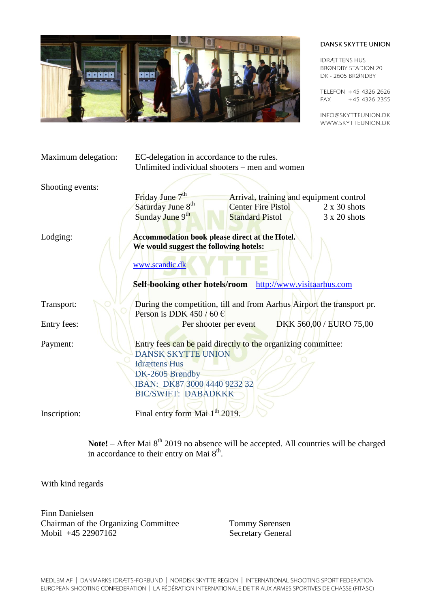

**IDRÆTTENS HUS BRØNDBY STADION 20** DK-2605 BRØNDBY

TELEFON +45 4326 2626 +45 4326 2355 **FAX** 

INFO@SKYTTEUNION.DK WWW.SKYTTEUNION.DK

| Maximum delegation: | EC-delegation in accordance to the rules.                                                 |                           |                            |                                         |
|---------------------|-------------------------------------------------------------------------------------------|---------------------------|----------------------------|-----------------------------------------|
|                     | Unlimited individual shooters – men and women                                             |                           |                            |                                         |
| Shooting events:    |                                                                                           |                           |                            |                                         |
|                     | Friday June 7 <sup>th</sup>                                                               |                           |                            | Arrival, training and equipment control |
|                     | Saturday June 8 <sup>th</sup>                                                             | <b>Center Fire Pistol</b> |                            | $2 \times 30$ shots                     |
|                     | Sunday June 9th                                                                           | <b>Standard Pistol</b>    |                            | 3 x 20 shots                            |
| Lodging:            | Accommodation book please direct at the Hotel.                                            |                           |                            |                                         |
|                     | We would suggest the following hotels:                                                    |                           |                            |                                         |
|                     | www.scandic.dk                                                                            |                           |                            |                                         |
|                     | Self-booking other hotels/room                                                            |                           | http://www.visitaarhus.com |                                         |
| Transport:          | During the competition, till and from Aarhus Airport the transport pr.                    |                           |                            |                                         |
|                     | Person is DDK 450 / 60 $\in$                                                              |                           |                            |                                         |
| Entry fees:         |                                                                                           | Per shooter per event     |                            | DKK 560,00 / EURO 75,00                 |
| Payment:            | Entry fees can be paid directly to the organizing committee:<br><b>DANSK SKYTTE UNION</b> |                           |                            |                                         |
|                     | <b>Idrættens Hus</b>                                                                      |                           |                            |                                         |
|                     | DK-2605 Brøndby                                                                           |                           |                            |                                         |
|                     | IBAN: DK87 3000 4440 9232 32                                                              |                           |                            |                                         |
|                     | <b>BIC/SWIFT: DABADKKK</b>                                                                |                           |                            |                                         |
| Inscription:        | Final entry form Mai 1 <sup>th</sup> 2019.                                                |                           |                            |                                         |

Note! – After Mai 8<sup>th</sup> 2019 no absence will be accepted. All countries will be charged in accordance to their entry on Mai  $8<sup>th</sup>$ .

With kind regards

Finn Danielsen Chairman of the Organizing Committee Tommy Sørensen Mobil +45 22907162 Secretary General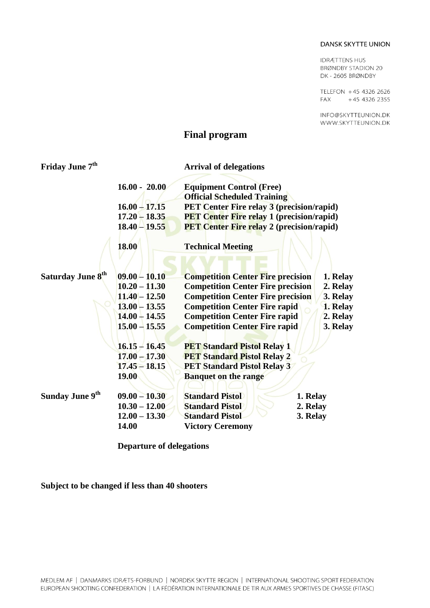**IDRÆTTENS HUS BRØNDBY STADION 20** DK-2605 BRØNDBY

TELEFON +45 4326 2626 +45 4326 2355 **FAX** 

INFO@SKYTTEUNION.DK WWW.SKYTTEUNION.DK

## **Final program**

| Friday June 7 <sup>th</sup> |                 | <b>Arrival of delegations</b>                                         |          |  |  |
|-----------------------------|-----------------|-----------------------------------------------------------------------|----------|--|--|
|                             | $16.00 - 20.00$ | <b>Equipment Control (Free)</b><br><b>Official Scheduled Training</b> |          |  |  |
|                             | $16.00 - 17.15$ | <b>PET Center Fire relay 3 (precision/rapid)</b>                      |          |  |  |
|                             | $17.20 - 18.35$ | <b>PET Center Fire relay 1 (precision/rapid)</b>                      |          |  |  |
|                             | $18.40 - 19.55$ | <b>PET Center Fire relay 2 (precision/rapid)</b>                      |          |  |  |
|                             | <b>18.00</b>    | <b>Technical Meeting</b>                                              |          |  |  |
|                             |                 |                                                                       |          |  |  |
| <b>Saturday June 8th</b>    | $09.00 - 10.10$ | <b>Competition Center Fire precision</b>                              | 1. Relay |  |  |
|                             | $10.20 - 11.30$ | <b>Competition Center Fire precision</b>                              | 2. Relay |  |  |
|                             | $11.40 - 12.50$ | <b>Competition Center Fire precision</b>                              | 3. Relay |  |  |
|                             | $13.00 - 13.55$ | <b>Competition Center Fire rapid</b>                                  | 1. Relay |  |  |
|                             | $14.00 - 14.55$ | <b>Competition Center Fire rapid</b>                                  | 2. Relay |  |  |
|                             | $15.00 - 15.55$ | <b>Competition Center Fire rapid</b>                                  | 3. Relay |  |  |
|                             | $16.15 - 16.45$ | <b>PET Standard Pistol Relay 1</b>                                    |          |  |  |
|                             | $17.00 - 17.30$ | <b>PET Standard Pistol Relay 2</b>                                    |          |  |  |
|                             | $17.45 - 18.15$ | <b>PET Standard Pistol Relay 3</b>                                    |          |  |  |
|                             | <b>19.00</b>    | <b>Banquet on the range</b>                                           |          |  |  |
| Sunday June 9 <sup>th</sup> | $09.00 - 10.30$ | <b>Standard Pistol</b>                                                | 1. Relay |  |  |
|                             | $10.30 - 12.00$ | <b>Standard Pistol</b>                                                | 2. Relay |  |  |
|                             | $12.00 - 13.30$ | <b>Standard Pistol</b>                                                | 3. Relay |  |  |
|                             | 14.00           | <b>Victory Ceremony</b>                                               |          |  |  |

**Departure of delegations**

**Subject to be changed if less than 40 shooters**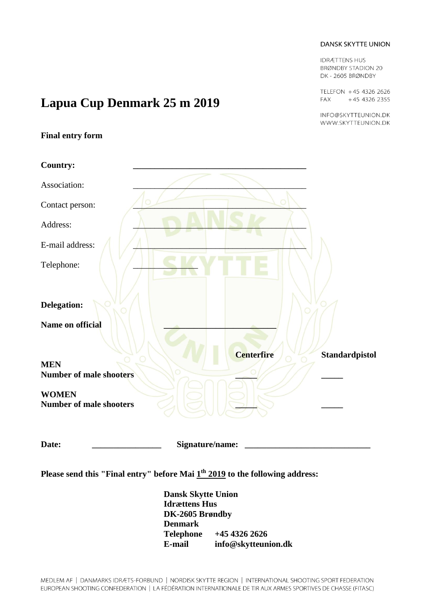**IDRÆTTENS HUS BRØNDBY STADION 20** DK-2605 BRØNDBY

TELEFON +45 4326 2626 **FAX** +45 4326 2355

INFO@SKYTTEUNION.DK WWW.SKYTTEUNION.DK

# **Lapua Cup Denmark 25 m 2019**

### **Final entry form**

| <b>Country:</b>                                |                 |                   |                       |
|------------------------------------------------|-----------------|-------------------|-----------------------|
| Association:                                   |                 |                   |                       |
| Contact person:                                |                 |                   |                       |
| Address:                                       |                 |                   |                       |
| E-mail address:                                |                 |                   |                       |
| Telephone:                                     |                 |                   |                       |
| Delegation:                                    |                 |                   |                       |
| Name on official                               |                 |                   |                       |
| <b>MEN</b>                                     |                 | <b>Centerfire</b> | <b>Standardpistol</b> |
| <b>Number of male shooters</b>                 |                 |                   |                       |
| <b>WOMEN</b><br><b>Number of male shooters</b> |                 |                   |                       |
| Date:                                          | Signature/name: |                   |                       |

**Please send this "Final entry" before Mai 1 th 2019 to the following address:**

**Dansk Skytte Union Idrættens Hus DK-2605 Brøndby Denmark Telephone +45 4326 2626 E-mail info@skytteunion.dk**